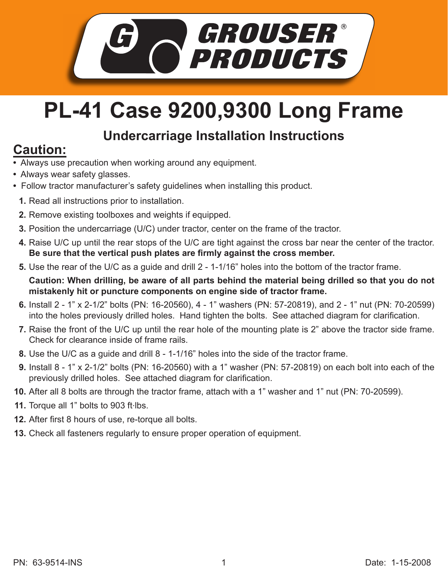

## **PL-41 Case 9200,9300 Long Frame**

## **Undercarriage Installation Instructions**

## **Caution:**

- Always use precaution when working around any equipment.
- Always wear safety glasses.
- Follow tractor manufacturer's safety guidelines when installing this product.
	- **1.** Read all instructions prior to installation.
	- **2.** Remove existing toolboxes and weights if equipped.
- **3.** Position the undercarriage (U/C) under tractor, center on the frame of the tractor.
- **4.** Raise U/C up until the rear stops of the U/C are tight against the cross bar near the center of the tractor. Be sure that the vertical push plates are firmly against the cross member.
- **5.** Use the rear of the U/C as a guide and drill 2 1-1/16" holes into the bottom of the tractor frame.

**Caution: When drilling, be aware of all parts behind the material being drilled so that you do not mistakenly hit or puncture components on engine side of tractor frame.**

- Install 2 1" x 2-1/2" bolts (PN: 16-20560), 4 1" washers (PN: 57-20819), and 2 1" nut (PN: 70-20599) **6.** into the holes previously drilled holes. Hand tighten the bolts. See attached diagram for clarification.
- **7.** Raise the front of the U/C up until the rear hole of the mounting plate is 2" above the tractor side frame. Check for clearance inside of frame rails.
- Use the U/C as a guide and drill 8 1-1/16" holes into the side of the tractor frame. **8.**
- Install 8 1" x 2-1/2" bolts (PN: 16-20560) with a 1" washer (PN: 57-20819) on each bolt into each of the **9.** previously drilled holes. See attached diagram for clarification.
- **10.** After all 8 bolts are through the tractor frame, attach with a 1" washer and 1" nut (PN: 70-20599).
- 11. Torque all 1" bolts to 903 ft·lbs.
- **12.** After first 8 hours of use, re-torque all bolts.
- **13.** Check all fasteners regularly to ensure proper operation of equipment.